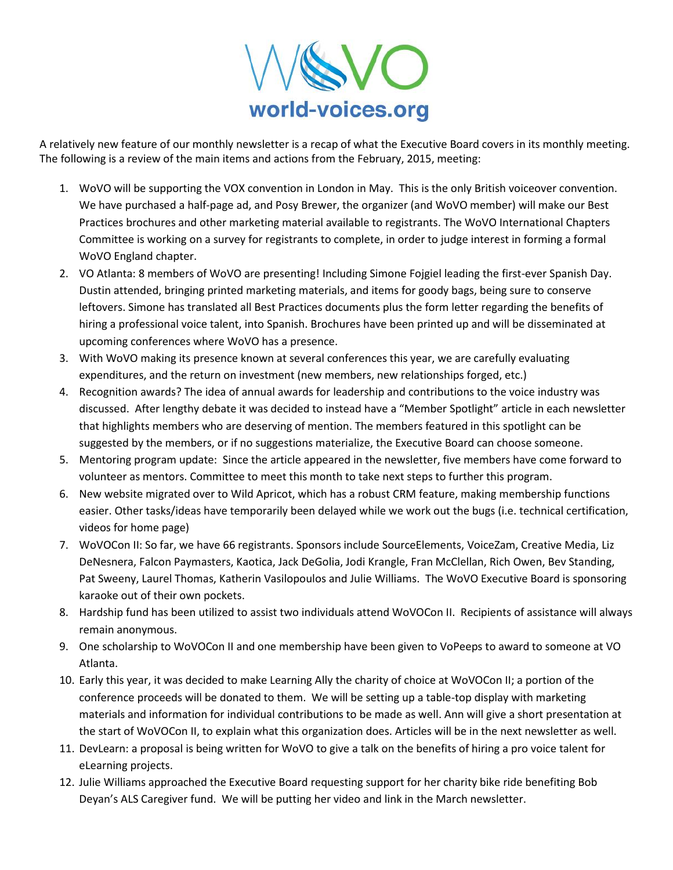

A relatively new feature of our monthly newsletter is a recap of what the Executive Board covers in its monthly meeting. The following is a review of the main items and actions from the February, 2015, meeting:

- 1. WoVO will be supporting the VOX convention in London in May. This is the only British voiceover convention. We have purchased a half-page ad, and Posy Brewer, the organizer (and WoVO member) will make our Best Practices brochures and other marketing material available to registrants. The WoVO International Chapters Committee is working on a survey for registrants to complete, in order to judge interest in forming a formal WoVO England chapter.
- 2. VO Atlanta: 8 members of WoVO are presenting! Including Simone Fojgiel leading the first-ever Spanish Day. Dustin attended, bringing printed marketing materials, and items for goody bags, being sure to conserve leftovers. Simone has translated all Best Practices documents plus the form letter regarding the benefits of hiring a professional voice talent, into Spanish. Brochures have been printed up and will be disseminated at upcoming conferences where WoVO has a presence.
- 3. With WoVO making its presence known at several conferences this year, we are carefully evaluating expenditures, and the return on investment (new members, new relationships forged, etc.)
- 4. Recognition awards? The idea of annual awards for leadership and contributions to the voice industry was discussed. After lengthy debate it was decided to instead have a "Member Spotlight" article in each newsletter that highlights members who are deserving of mention. The members featured in this spotlight can be suggested by the members, or if no suggestions materialize, the Executive Board can choose someone.
- 5. Mentoring program update: Since the article appeared in the newsletter, five members have come forward to volunteer as mentors. Committee to meet this month to take next steps to further this program.
- 6. New website migrated over to Wild Apricot, which has a robust CRM feature, making membership functions easier. Other tasks/ideas have temporarily been delayed while we work out the bugs (i.e. technical certification, videos for home page)
- 7. WoVOCon II: So far, we have 66 registrants. Sponsors include SourceElements, VoiceZam, Creative Media, Liz DeNesnera, Falcon Paymasters, Kaotica, Jack DeGolia, Jodi Krangle, Fran McClellan, Rich Owen, Bev Standing, Pat Sweeny, Laurel Thomas, Katherin Vasilopoulos and Julie Williams. The WoVO Executive Board is sponsoring karaoke out of their own pockets.
- 8. Hardship fund has been utilized to assist two individuals attend WoVOCon II. Recipients of assistance will always remain anonymous.
- 9. One scholarship to WoVOCon II and one membership have been given to VoPeeps to award to someone at VO Atlanta.
- 10. Early this year, it was decided to make Learning Ally the charity of choice at WoVOCon II; a portion of the conference proceeds will be donated to them. We will be setting up a table-top display with marketing materials and information for individual contributions to be made as well. Ann will give a short presentation at the start of WoVOCon II, to explain what this organization does. Articles will be in the next newsletter as well.
- 11. DevLearn: a proposal is being written for WoVO to give a talk on the benefits of hiring a pro voice talent for eLearning projects.
- 12. Julie Williams approached the Executive Board requesting support for her charity bike ride benefiting Bob Deyan's ALS Caregiver fund. We will be putting her video and link in the March newsletter.